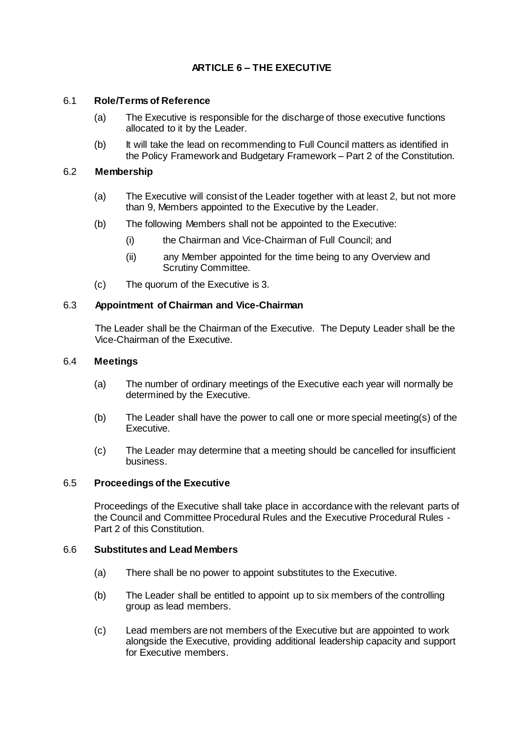# **ARTICLE 6 – THE EXECUTIVE**

# 6.1 **Role/Terms of Reference**

- (a) The Executive is responsible for the discharge of those executive functions allocated to it by the Leader.
- (b) It will take the lead on recommending to Full Council matters as identified in the Policy Framework and Budgetary Framework – Part 2 of the Constitution.

## 6.2 **Membership**

- (a) The Executive will consist of the Leader together with at least 2, but not more than 9, Members appointed to the Executive by the Leader.
- (b) The following Members shall not be appointed to the Executive:
	- (i) the Chairman and Vice-Chairman of Full Council; and
	- (ii) any Member appointed for the time being to any Overview and Scrutiny Committee.
- (c) The quorum of the Executive is 3.

## 6.3 **Appointment of Chairman and Vice-Chairman**

The Leader shall be the Chairman of the Executive. The Deputy Leader shall be the Vice-Chairman of the Executive.

### 6.4 **Meetings**

- (a) The number of ordinary meetings of the Executive each year will normally be determined by the Executive.
- (b) The Leader shall have the power to call one or more special meeting(s) of the Executive.
- (c) The Leader may determine that a meeting should be cancelled for insufficient business.

## 6.5 **Proceedings of the Executive**

Proceedings of the Executive shall take place in accordance with the relevant parts of the Council and Committee Procedural Rules and the Executive Procedural Rules - Part 2 of this Constitution.

#### 6.6 **Substitutes and Lead Members**

- (a) There shall be no power to appoint substitutes to the Executive.
- (b) The Leader shall be entitled to appoint up to six members of the controlling group as lead members.
- (c) Lead members are not members of the Executive but are appointed to work alongside the Executive, providing additional leadership capacity and support for Executive members.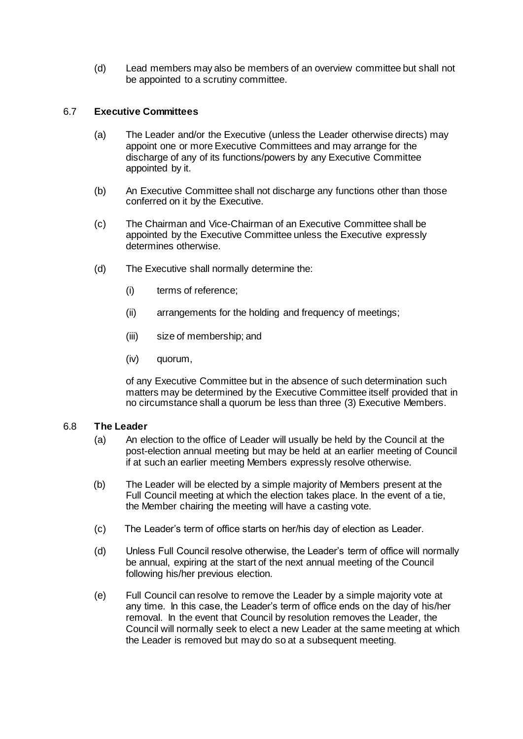(d) Lead members may also be members of an overview committee but shall not be appointed to a scrutiny committee.

# 6.7 **Executive Committees**

- (a) The Leader and/or the Executive (unless the Leader otherwise directs) may appoint one or more Executive Committees and may arrange for the discharge of any of its functions/powers by any Executive Committee appointed by it.
- (b) An Executive Committee shall not discharge any functions other than those conferred on it by the Executive.
- (c) The Chairman and Vice-Chairman of an Executive Committee shall be appointed by the Executive Committee unless the Executive expressly determines otherwise.
- (d) The Executive shall normally determine the:
	- (i) terms of reference;
	- (ii) arrangements for the holding and frequency of meetings;
	- (iii) size of membership; and
	- (iv) quorum,

of any Executive Committee but in the absence of such determination such matters may be determined by the Executive Committee itself provided that in no circumstance shall a quorum be less than three (3) Executive Members.

#### 6.8 **The Leader**

- (a) An election to the office of Leader will usually be held by the Council at the post-election annual meeting but may be held at an earlier meeting of Council if at such an earlier meeting Members expressly resolve otherwise.
- (b) The Leader will be elected by a simple majority of Members present at the Full Council meeting at which the election takes place. In the event of a tie, the Member chairing the meeting will have a casting vote.
- (c) The Leader's term of office starts on her/his day of election as Leader.
- (d) Unless Full Council resolve otherwise, the Leader's term of office will normally be annual, expiring at the start of the next annual meeting of the Council following his/her previous election.
- (e) Full Council can resolve to remove the Leader by a simple majority vote at any time. In this case, the Leader's term of office ends on the day of his/her removal. In the event that Council by resolution removes the Leader, the Council will normally seek to elect a new Leader at the same meeting at which the Leader is removed but may do so at a subsequent meeting.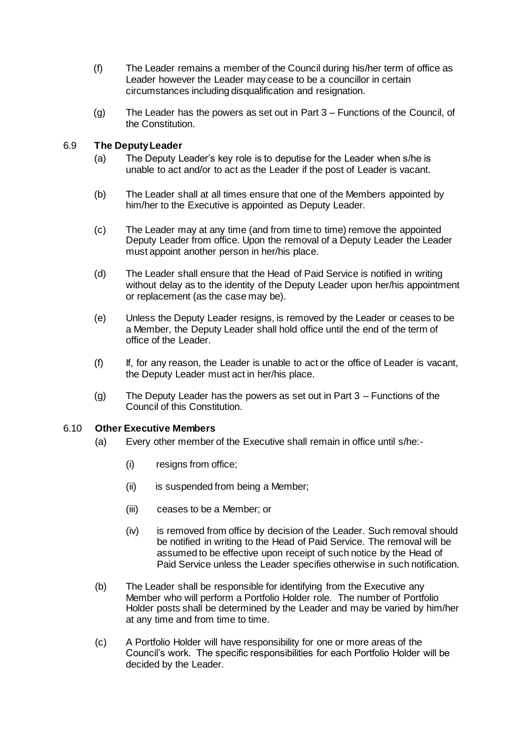- (f) The Leader remains a member of the Council during his/her term of office as Leader however the Leader may cease to be a councillor in certain circumstances including disqualification and resignation.
- (g) The Leader has the powers as set out in Part 3 Functions of the Council, of the Constitution.

# 6.9 **The Deputy Leader**

- (a) The Deputy Leader's key role is to deputise for the Leader when s/he is unable to act and/or to act as the Leader if the post of Leader is vacant.
- (b) The Leader shall at all times ensure that one of the Members appointed by him/her to the Executive is appointed as Deputy Leader.
- (c) The Leader may at any time (and from time to time) remove the appointed Deputy Leader from office. Upon the removal of a Deputy Leader the Leader must appoint another person in her/his place.
- (d) The Leader shall ensure that the Head of Paid Service is notified in writing without delay as to the identity of the Deputy Leader upon her/his appointment or replacement (as the case may be).
- (e) Unless the Deputy Leader resigns, is removed by the Leader or ceases to be a Member, the Deputy Leader shall hold office until the end of the term of office of the Leader.
- (f) If, for any reason, the Leader is unable to act or the office of Leader is vacant, the Deputy Leader must act in her/his place.
- (g) The Deputy Leader has the powers as set out in Part 3 Functions of the Council of this Constitution.

# 6.10 **Other Executive Members**

- (a) Every other member of the Executive shall remain in office until s/he:-
	- (i) resigns from office;
	- (ii) is suspended from being a Member;
	- (iii) ceases to be a Member; or
	- (iv) is removed from office by decision of the Leader. Such removal should be notified in writing to the Head of Paid Service. The removal will be assumed to be effective upon receipt of such notice by the Head of Paid Service unless the Leader specifies otherwise in such notification.
- (b) The Leader shall be responsible for identifying from the Executive any Member who will perform a Portfolio Holder role. The number of Portfolio Holder posts shall be determined by the Leader and may be varied by him/her at any time and from time to time.
- (c) A Portfolio Holder will have responsibility for one or more areas of the Council's work. The specific responsibilities for each Portfolio Holder will be decided by the Leader.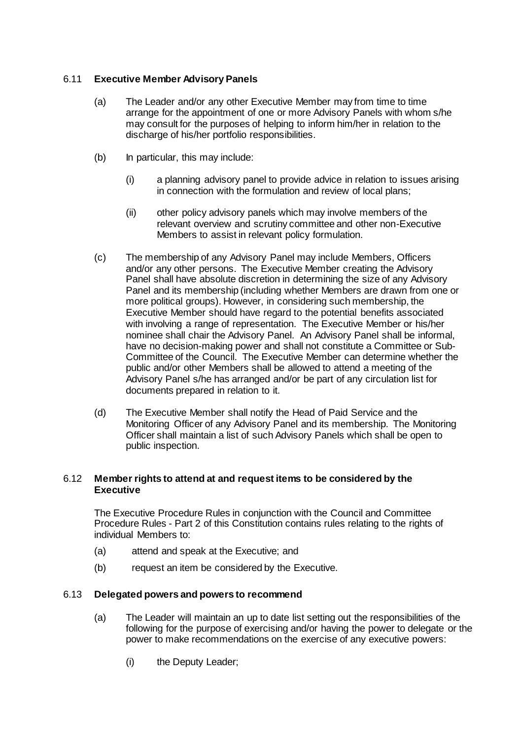# 6.11 **Executive Member Advisory Panels**

- (a) The Leader and/or any other Executive Member may from time to time arrange for the appointment of one or more Advisory Panels with whom s/he may consult for the purposes of helping to inform him/her in relation to the discharge of his/her portfolio responsibilities.
- (b) In particular, this may include:
	- (i) a planning advisory panel to provide advice in relation to issues arising in connection with the formulation and review of local plans;
	- (ii) other policy advisory panels which may involve members of the relevant overview and scrutiny committee and other non-Executive Members to assist in relevant policy formulation.
- (c) The membership of any Advisory Panel may include Members, Officers and/or any other persons. The Executive Member creating the Advisory Panel shall have absolute discretion in determining the size of any Advisory Panel and its membership (including whether Members are drawn from one or more political groups). However, in considering such membership, the Executive Member should have regard to the potential benefits associated with involving a range of representation. The Executive Member or his/her nominee shall chair the Advisory Panel. An Advisory Panel shall be informal, have no decision-making power and shall not constitute a Committee or Sub-Committee of the Council. The Executive Member can determine whether the public and/or other Members shall be allowed to attend a meeting of the Advisory Panel s/he has arranged and/or be part of any circulation list for documents prepared in relation to it.
- (d) The Executive Member shall notify the Head of Paid Service and the Monitoring Officer of any Advisory Panel and its membership. The Monitoring Officer shall maintain a list of such Advisory Panels which shall be open to public inspection.

### 6.12 **Member rights to attend at and request items to be considered by the Executive**

The Executive Procedure Rules in conjunction with the Council and Committee Procedure Rules - Part 2 of this Constitution contains rules relating to the rights of individual Members to:

- (a) attend and speak at the Executive; and
- (b) request an item be considered by the Executive.

## 6.13 **Delegated powers and powers to recommend**

- (a) The Leader will maintain an up to date list setting out the responsibilities of the following for the purpose of exercising and/or having the power to delegate or the power to make recommendations on the exercise of any executive powers:
	- (i) the Deputy Leader;